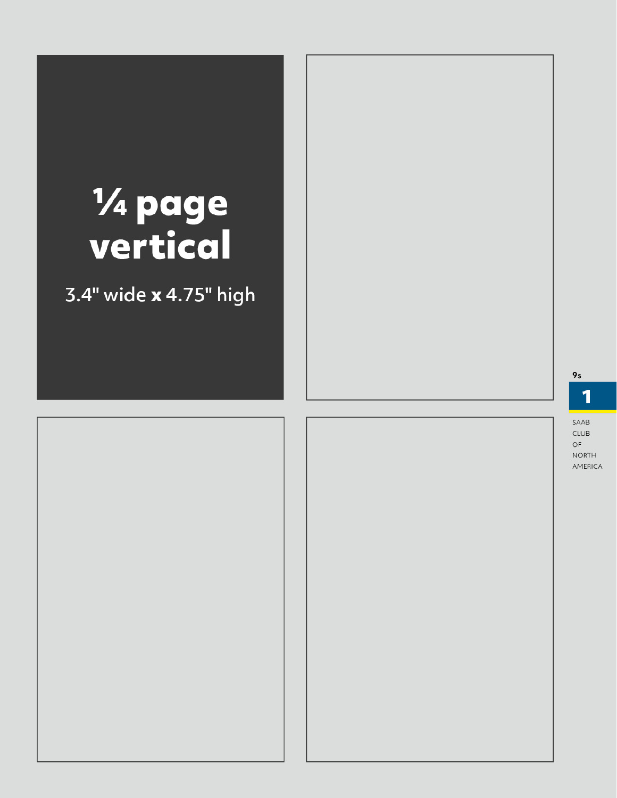# % page<br>vertical

3.4" wide x 4.75" high

9s

1

 $CLUB$  $\mathsf{OF}% _{T}$ **NORTH** AMERICA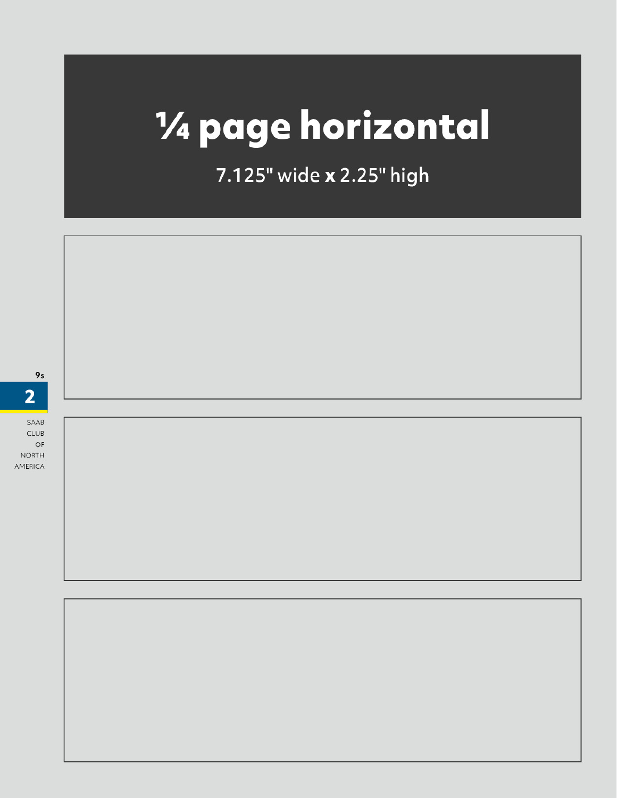## 1/4 page horizontal

7.125" wide x 2.25" high



SAAB  $CLUB$ 

OF **NORTH** AMERICA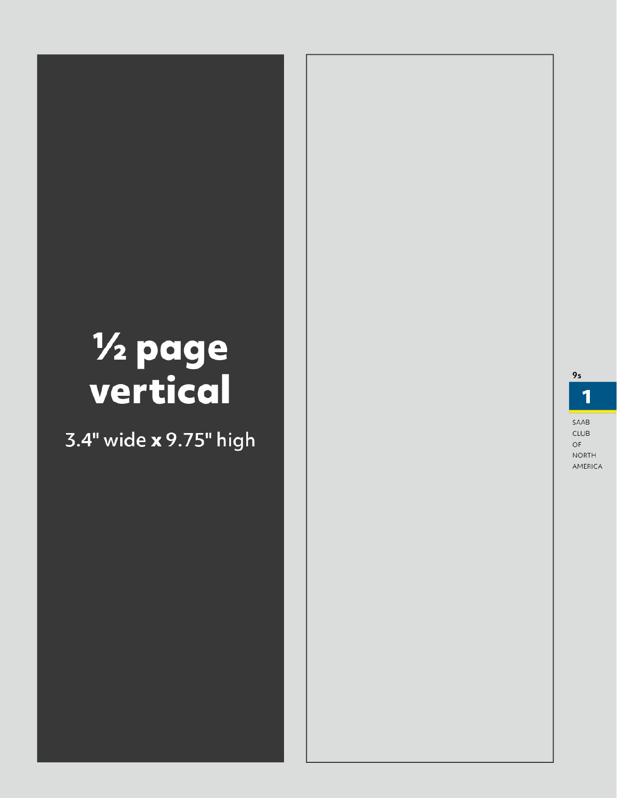# % page<br>vertical

 $9s$ 

1

### 3.4" wide x 9.75" high

 $\mathsf{OF}% _{T}$ **NORTH** AMERICA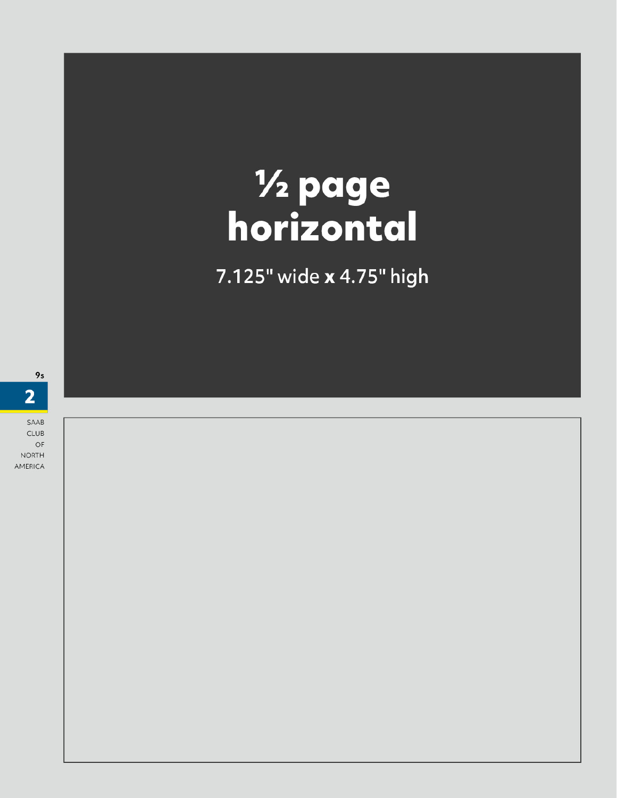## **1/2 page<br>horizontal**

7.125" wide x 4.75" high

SAAB  $CLUB$ 

OF **NORTH** AMERICA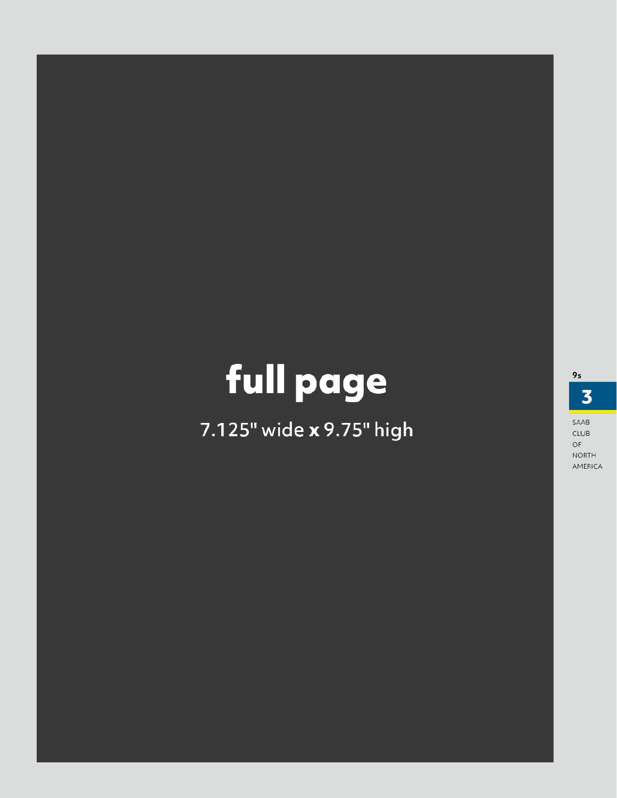### full page

7.125" wide x 9.75" high

 $\overline{\mathbf{3}}$ 

 $CLUB$  $\mathsf{OF}% \left( \mathcal{M}\right)$ **NORTH** AMERICA

SAAB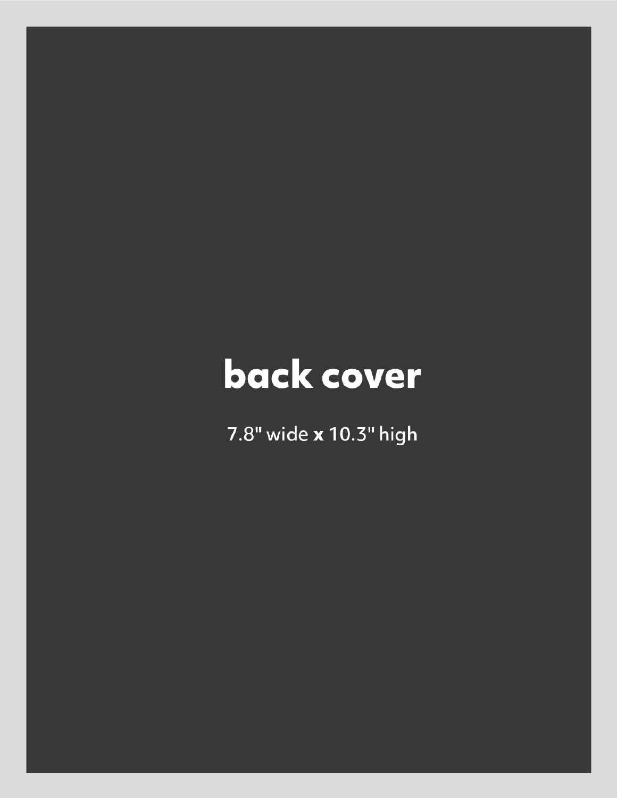### back cover

7.8" wide x 10.3" high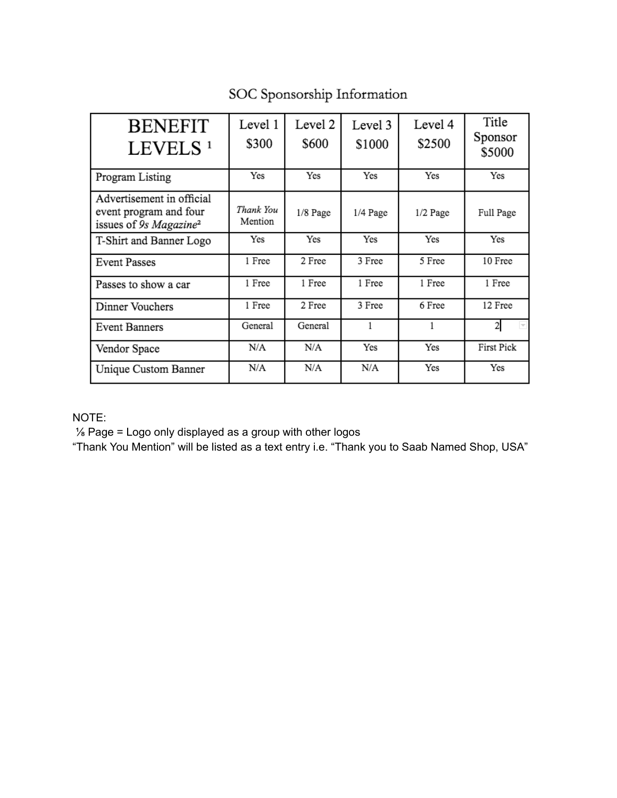| <b>BENEFIT</b><br>LEVELS <sup>1</sup>                                                     | Level 1<br>\$300     | Level 2<br>\$600 | Level 3<br>\$1000 | Level 4<br>\$2500 | Title<br>Sponsor<br>\$5000 |
|-------------------------------------------------------------------------------------------|----------------------|------------------|-------------------|-------------------|----------------------------|
| Program Listing                                                                           | Yes                  | Yes              | Yes               | Yes               | Yes                        |
| Advertisement in official<br>event program and four<br>issues of 9s Magazine <sup>2</sup> | Thank You<br>Mention | 1/8 Page         | 1/4 Page          | $1/2$ Page        | Full Page                  |
| T-Shirt and Banner Logo                                                                   | Yes                  | Yes              | Yes               | Yes               | Yes                        |
| <b>Event Passes</b>                                                                       | 1 Free               | 2 Free           | 3 Free            | 5 Free            | 10 Free                    |
| Passes to show a car                                                                      | 1 Free               | 1 Free           | 1 Free            | 1 Free            | 1 Free                     |
| Dinner Vouchers                                                                           | 1 Free               | 2 Free           | 3 Free            | 6 Free            | 12 Free                    |
| <b>Event Banners</b>                                                                      | General              | General          | 1                 | 1                 | F.                         |
| Vendor Space                                                                              | N/A                  | N/A              | Yes               | Yes               | <b>First Pick</b>          |
| Unique Custom Banner                                                                      | N/A                  | N/A              | N/A               | Yes               | Yes                        |

### SOC Sponsorship Information

### NOTE:

1/<sub>8</sub> Page = Logo only displayed as a group with other logos

"Thank You Mention" will be listed as a text entry i.e. "Thank you to Saab Named Shop, USA"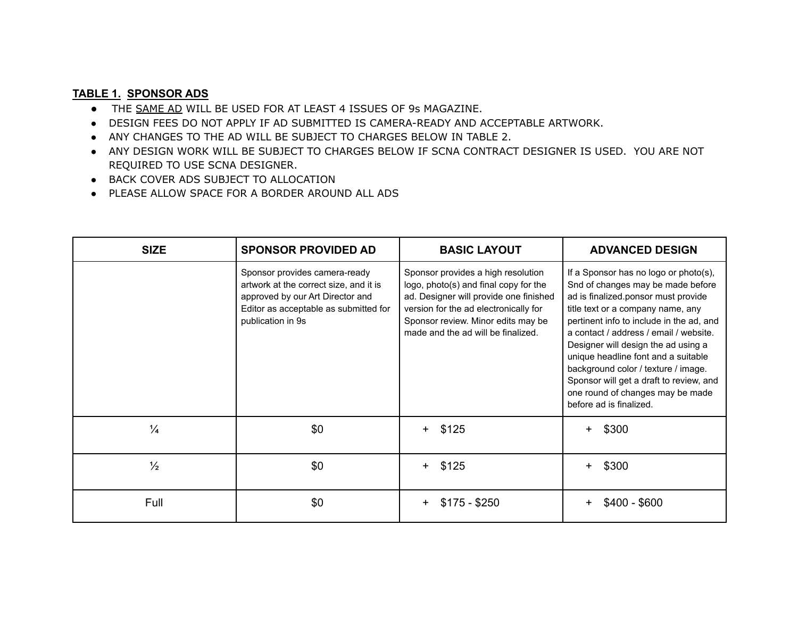### **TABLE 1. SPONSOR ADS**

- THE SAME AD WILL BE USED FOR AT LEAST 4 ISSUES OF 9s MAGAZINE.
- DESIGN FEES DO NOT APPLY IF AD SUBMITTED IS CAMERA-READY AND ACCEPTABLE ARTWORK.
- ANY CHANGES TO THE AD WILL BE SUBJECT TO CHARGES BELOW IN TABLE 2.
- . ANY DESIGN WORK WILL BE SUBJECT TO CHARGES BELOW IF SCNA CONTRACT DESIGNER IS USED. YOU ARE NOT REQUIRED TO USE SCNA DESIGNER.
- BACK COVER ADS SUBJECT TO ALLOCATION
- PLEASE ALLOW SPACE FOR A BORDER AROUND ALL ADS

| <b>SIZE</b>   | <b>SPONSOR PROVIDED AD</b>                                                                                                                                                | <b>BASIC LAYOUT</b>                                                                                                                                                                                                                        | <b>ADVANCED DESIGN</b>                                                                                                                                                                                                                                                                                                                                                                                                                                                      |  |
|---------------|---------------------------------------------------------------------------------------------------------------------------------------------------------------------------|--------------------------------------------------------------------------------------------------------------------------------------------------------------------------------------------------------------------------------------------|-----------------------------------------------------------------------------------------------------------------------------------------------------------------------------------------------------------------------------------------------------------------------------------------------------------------------------------------------------------------------------------------------------------------------------------------------------------------------------|--|
|               | Sponsor provides camera-ready<br>artwork at the correct size, and it is<br>approved by our Art Director and<br>Editor as acceptable as submitted for<br>publication in 9s | Sponsor provides a high resolution<br>logo, photo(s) and final copy for the<br>ad. Designer will provide one finished<br>version for the ad electronically for<br>Sponsor review. Minor edits may be<br>made and the ad will be finalized. | If a Sponsor has no logo or photo(s),<br>Snd of changes may be made before<br>ad is finalized.ponsor must provide<br>title text or a company name, any<br>pertinent info to include in the ad, and<br>a contact / address / email / website.<br>Designer will design the ad using a<br>unique headline font and a suitable<br>background color / texture / image.<br>Sponsor will get a draft to review, and<br>one round of changes may be made<br>before ad is finalized. |  |
| $\frac{1}{4}$ | \$0                                                                                                                                                                       | \$125<br>$+$                                                                                                                                                                                                                               | \$300<br>$+$                                                                                                                                                                                                                                                                                                                                                                                                                                                                |  |
| $\frac{1}{2}$ | \$0                                                                                                                                                                       | \$125<br>$\pm$                                                                                                                                                                                                                             | \$300<br>$+$                                                                                                                                                                                                                                                                                                                                                                                                                                                                |  |
| Full          | \$0                                                                                                                                                                       | $$175 - $250$<br>$+$                                                                                                                                                                                                                       | $$400 - $600$<br>$\ddot{}$                                                                                                                                                                                                                                                                                                                                                                                                                                                  |  |